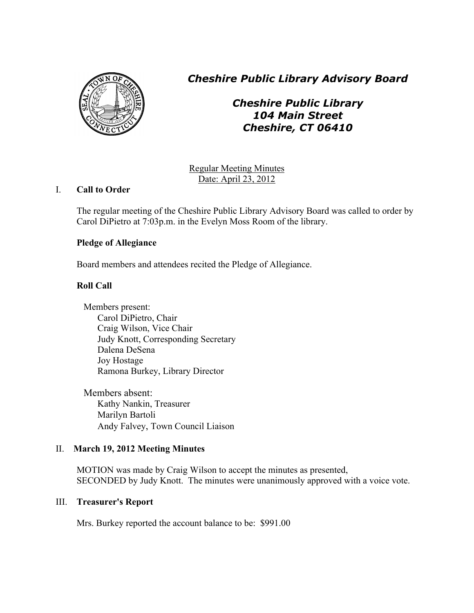

*Cheshire Public Library Advisory Board*

# *Cheshire Public Library 104 Main Street Cheshire, CT 06410*

Regular Meeting Minutes Date: April 23, 2012

# I. **Call to Order**

The regular meeting of the Cheshire Public Library Advisory Board was called to order by Carol DiPietro at 7:03p.m. in the Evelyn Moss Room of the library.

# **Pledge of Allegiance**

Board members and attendees recited the Pledge of Allegiance.

# **Roll Call**

Members present: Carol DiPietro, Chair Craig Wilson, Vice Chair Judy Knott, Corresponding Secretary Dalena DeSena Joy Hostage Ramona Burkey, Library Director

Members absent: Kathy Nankin, Treasurer Marilyn Bartoli Andy Falvey, Town Council Liaison

# II. **March 19, 2012 Meeting Minutes**

MOTION was made by Craig Wilson to accept the minutes as presented, SECONDED by Judy Knott. The minutes were unanimously approved with a voice vote.

# III. **Treasurer's Report**

Mrs. Burkey reported the account balance to be: \$991.00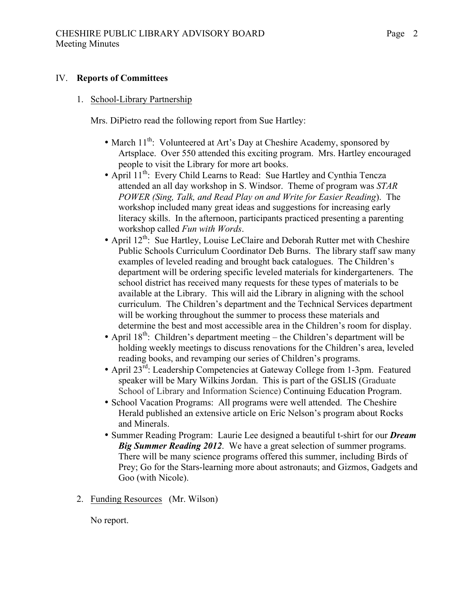#### IV. **Reports of Committees**

#### 1. School-Library Partnership

Mrs. DiPietro read the following report from Sue Hartley:

- March  $11^{th}$ : Volunteered at Art's Day at Cheshire Academy, sponsored by Artsplace. Over 550 attended this exciting program. Mrs. Hartley encouraged people to visit the Library for more art books.
- April 11<sup>th</sup>: Every Child Learns to Read: Sue Hartley and Cynthia Tencza attended an all day workshop in S. Windsor. Theme of program was *STAR POWER (Sing, Talk, and Read Play on and Write for Easier Reading*). The workshop included many great ideas and suggestions for increasing early literacy skills. In the afternoon, participants practiced presenting a parenting workshop called *Fun with Words*.
- April 12<sup>th</sup>: Sue Hartley, Louise LeClaire and Deborah Rutter met with Cheshire Public Schools Curriculum Coordinator Deb Burns. The library staff saw many examples of leveled reading and brought back catalogues. The Children's department will be ordering specific leveled materials for kindergarteners. The school district has received many requests for these types of materials to be available at the Library. This will aid the Library in aligning with the school curriculum. The Children's department and the Technical Services department will be working throughout the summer to process these materials and determine the best and most accessible area in the Children's room for display.
- April  $18^{th}$ : Children's department meeting the Children's department will be holding weekly meetings to discuss renovations for the Children's area, leveled reading books, and revamping our series of Children's programs.
- April 23<sup>rd</sup>: Leadership Competencies at Gateway College from 1-3pm. Featured speaker will be Mary Wilkins Jordan. This is part of the GSLIS (Graduate School of Library and Information Science) Continuing Education Program.
- School Vacation Programs: All programs were well attended. The Cheshire Herald published an extensive article on Eric Nelson's program about Rocks and Minerals.
- Summer Reading Program: Laurie Lee designed a beautiful t-shirt for our *Dream Big Summer Reading 2012*. We have a great selection of summer programs. There will be many science programs offered this summer, including Birds of Prey; Go for the Stars-learning more about astronauts; and Gizmos, Gadgets and Goo (with Nicole).
- 2. Funding Resources (Mr. Wilson)

No report.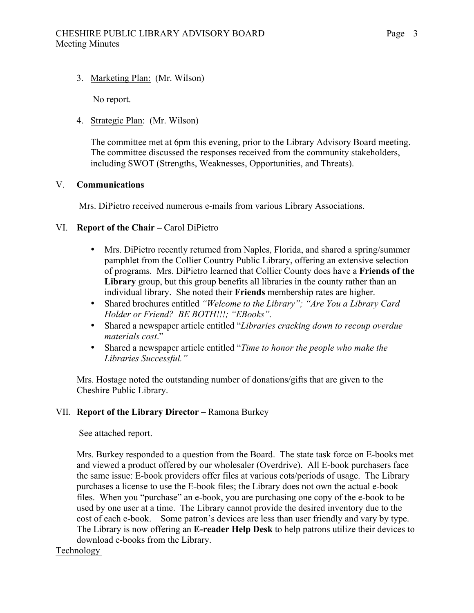3. Marketing Plan: (Mr. Wilson)

No report.

## 4. Strategic Plan: (Mr. Wilson)

The committee met at 6pm this evening, prior to the Library Advisory Board meeting. The committee discussed the responses received from the community stakeholders, including SWOT (Strengths, Weaknesses, Opportunities, and Threats).

## V. **Communications**

Mrs. DiPietro received numerous e-mails from various Library Associations.

## VI. **Report of the Chair –** Carol DiPietro

- Mrs. DiPietro recently returned from Naples, Florida, and shared a spring/summer pamphlet from the Collier Country Public Library, offering an extensive selection of programs. Mrs. DiPietro learned that Collier County does have a **Friends of the Library** group, but this group benefits all libraries in the county rather than an individual library. She noted their **Friends** membership rates are higher.
- Shared brochures entitled *"Welcome to the Library"; "Are You a Library Card Holder or Friend? BE BOTH!!!; "EBooks".*
- Shared a newspaper article entitled "*Libraries cracking down to recoup overdue materials cost*."
- Shared a newspaper article entitled "*Time to honor the people who make the Libraries Successful."*

Mrs. Hostage noted the outstanding number of donations/gifts that are given to the Cheshire Public Library.

## VII. **Report of the Library Director –** Ramona Burkey

See attached report.

Mrs. Burkey responded to a question from the Board. The state task force on E-books met and viewed a product offered by our wholesaler (Overdrive). All E-book purchasers face the same issue: E-book providers offer files at various cots/periods of usage. The Library purchases a license to use the E-book files; the Library does not own the actual e-book files. When you "purchase" an e-book, you are purchasing one copy of the e-book to be used by one user at a time. The Library cannot provide the desired inventory due to the cost of each e-book. Some patron's devices are less than user friendly and vary by type. The Library is now offering an **E-reader Help Desk** to help patrons utilize their devices to download e-books from the Library.

Technology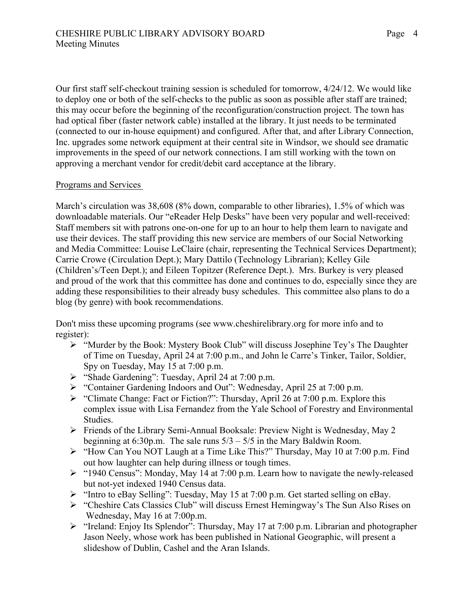Our first staff self-checkout training session is scheduled for tomorrow, 4/24/12. We would like to deploy one or both of the self-checks to the public as soon as possible after staff are trained; this may occur before the beginning of the reconfiguration/construction project. The town has had optical fiber (faster network cable) installed at the library. It just needs to be terminated (connected to our in-house equipment) and configured. After that, and after Library Connection, Inc. upgrades some network equipment at their central site in Windsor, we should see dramatic improvements in the speed of our network connections. I am still working with the town on approving a merchant vendor for credit/debit card acceptance at the library.

#### Programs and Services

March's circulation was 38,608 (8% down, comparable to other libraries), 1.5% of which was downloadable materials. Our "eReader Help Desks" have been very popular and well-received: Staff members sit with patrons one-on-one for up to an hour to help them learn to navigate and use their devices. The staff providing this new service are members of our Social Networking and Media Committee: Louise LeClaire (chair, representing the Technical Services Department); Carrie Crowe (Circulation Dept.); Mary Dattilo (Technology Librarian); Kelley Gile (Children's/Teen Dept.); and Eileen Topitzer (Reference Dept.). Mrs. Burkey is very pleased and proud of the work that this committee has done and continues to do, especially since they are adding these responsibilities to their already busy schedules. This committee also plans to do a blog (by genre) with book recommendations.

Don't miss these upcoming programs (see www.cheshirelibrary.org for more info and to register):

- ! "Murder by the Book: Mystery Book Club" will discuss Josephine Tey's The Daughter of Time on Tuesday, April 24 at 7:00 p.m., and John le Carre's Tinker, Tailor, Soldier, Spy on Tuesday, May 15 at 7:00 p.m.
- $\triangleright$  "Shade Gardening": Tuesday, April 24 at 7:00 p.m.
- ! "Container Gardening Indoors and Out": Wednesday, April 25 at 7:00 p.m.
- ! "Climate Change: Fact or Fiction?": Thursday, April 26 at 7:00 p.m. Explore this complex issue with Lisa Fernandez from the Yale School of Forestry and Environmental Studies.
- ! Friends of the Library Semi-Annual Booksale: Preview Night is Wednesday, May 2 beginning at 6:30p.m. The sale runs  $5/3 - 5/5$  in the Mary Baldwin Room.
- ! "How Can You NOT Laugh at a Time Like This?" Thursday, May 10 at 7:00 p.m. Find out how laughter can help during illness or tough times.
- $\ge$  "1940 Census": Monday, May 14 at 7:00 p.m. Learn how to navigate the newly-released but not-yet indexed 1940 Census data.
- $\triangleright$  "Intro to eBay Selling": Tuesday, May 15 at 7:00 p.m. Get started selling on eBay.
- ! "Cheshire Cats Classics Club" will discuss Ernest Hemingway's The Sun Also Rises on Wednesday, May 16 at 7:00p.m.
- $\triangleright$  "Ireland: Enjoy Its Splendor": Thursday, May 17 at 7:00 p.m. Librarian and photographer Jason Neely, whose work has been published in National Geographic, will present a slideshow of Dublin, Cashel and the Aran Islands.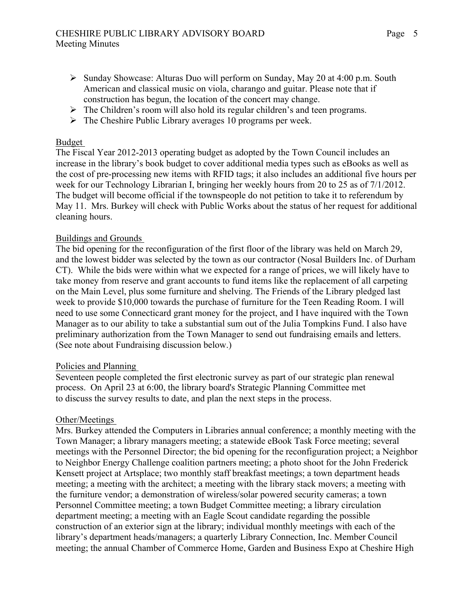- $\triangleright$  Sunday Showcase: Alturas Duo will perform on Sunday, May 20 at 4:00 p.m. South American and classical music on viola, charango and guitar. Please note that if construction has begun, the location of the concert may change.
- $\triangleright$  The Children's room will also hold its regular children's and teen programs.
- $\triangleright$  The Cheshire Public Library averages 10 programs per week.

## Budget

The Fiscal Year 2012-2013 operating budget as adopted by the Town Council includes an increase in the library's book budget to cover additional media types such as eBooks as well as the cost of pre-processing new items with RFID tags; it also includes an additional five hours per week for our Technology Librarian I, bringing her weekly hours from 20 to 25 as of 7/1/2012. The budget will become official if the townspeople do not petition to take it to referendum by May 11. Mrs. Burkey will check with Public Works about the status of her request for additional cleaning hours.

## Buildings and Grounds

The bid opening for the reconfiguration of the first floor of the library was held on March 29, and the lowest bidder was selected by the town as our contractor (Nosal Builders Inc. of Durham CT). While the bids were within what we expected for a range of prices, we will likely have to take money from reserve and grant accounts to fund items like the replacement of all carpeting on the Main Level, plus some furniture and shelving. The Friends of the Library pledged last week to provide \$10,000 towards the purchase of furniture for the Teen Reading Room. I will need to use some Connecticard grant money for the project, and I have inquired with the Town Manager as to our ability to take a substantial sum out of the Julia Tompkins Fund. I also have preliminary authorization from the Town Manager to send out fundraising emails and letters. (See note about Fundraising discussion below.)

## Policies and Planning

Seventeen people completed the first electronic survey as part of our strategic plan renewal process. On April 23 at 6:00, the library board's Strategic Planning Committee met to discuss the survey results to date, and plan the next steps in the process.

## Other/Meetings

Mrs. Burkey attended the Computers in Libraries annual conference; a monthly meeting with the Town Manager; a library managers meeting; a statewide eBook Task Force meeting; several meetings with the Personnel Director; the bid opening for the reconfiguration project; a Neighbor to Neighbor Energy Challenge coalition partners meeting; a photo shoot for the John Frederick Kensett project at Artsplace; two monthly staff breakfast meetings; a town department heads meeting; a meeting with the architect; a meeting with the library stack movers; a meeting with the furniture vendor; a demonstration of wireless/solar powered security cameras; a town Personnel Committee meeting; a town Budget Committee meeting; a library circulation department meeting; a meeting with an Eagle Scout candidate regarding the possible construction of an exterior sign at the library; individual monthly meetings with each of the library's department heads/managers; a quarterly Library Connection, Inc. Member Council meeting; the annual Chamber of Commerce Home, Garden and Business Expo at Cheshire High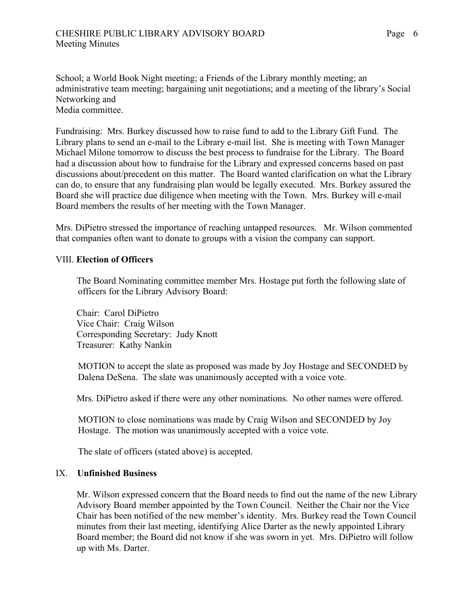School; a World Book Night meeting; a Friends of the Library monthly meeting; an administrative team meeting; bargaining unit negotiations; and a meeting of the library's Social Networking and Media committee.

Fundraising: Mrs. Burkey discussed how to raise fund to add to the Library Gift Fund. The Library plans to send an e-mail to the Library e-mail list. She is meeting with Town Manager Michael Milone tomorrow to discuss the best process to fundraise for the Library. The Board had a discussion about how to fundraise for the Library and expressed concerns based on past discussions about/precedent on this matter. The Board wanted clarification on what the Library can do, to ensure that any fundraising plan would be legally executed. Mrs. Burkey assured the Board she will practice due diligence when meeting with the Town. Mrs. Burkey will e-mail Board members the results of her meeting with the Town Manager.

Mrs. DiPietro stressed the importance of reaching untapped resources. Mr. Wilson commented that companies often want to donate to groups with a vision the company can support.

#### VIII. **Election of Officers**

The Board Nominating committee member Mrs. Hostage put forth the following slate of officers for the Library Advisory Board:

Chair: Carol DiPietro Vice Chair: Craig Wilson Corresponding Secretary: Judy Knott Treasurer: Kathy Nankin

MOTION to accept the slate as proposed was made by Joy Hostage and SECONDED by Dalena DeSena. The slate was unanimously accepted with a voice vote.

Mrs. DiPietro asked if there were any other nominations. No other names were offered.

 MOTION to close nominations was made by Craig Wilson and SECONDED by Joy Hostage. The motion was unanimously accepted with a voice vote.

The slate of officers (stated above) is accepted.

#### IX. **Unfinished Business**

Mr. Wilson expressed concern that the Board needs to find out the name of the new Library Advisory Board member appointed by the Town Council. Neither the Chair nor the Vice Chair has been notified of the new member's identity. Mrs. Burkey read the Town Council minutes from their last meeting, identifying Alice Darter as the newly appointed Library Board member; the Board did not know if she was sworn in yet. Mrs. DiPietro will follow up with Ms. Darter.